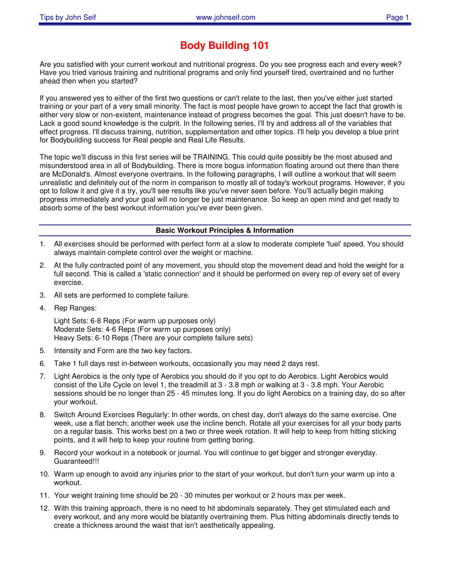# **Body Building 101**

Are you satisfied with your current workout and nutritional progress. Do you see progress each and every week? Have you tried various training and nutritional programs and only find yourself tired, overtrained and no further ahead then when you started?

If you answered yes to either of the first two questions or can't relate to the last, then you've either just started training or your part of a very small minority. The fact is most people have grown to accept the fact that growth is either very slow or non-existent, maintenance instead of progress becomes the goal. This just doesn't have to be. Lack a good sound knowledge is the culprit. In the following series, I'll try and address all of the variables that effect progress. I'll discuss training, nutrition, supplementation and other topics. I'll help you develop a blue print for Bodybuilding success for Real people and Real Life Results.

The topic we'll discuss in this first series will be TRAINING. This could quite possibly be the most abused and misunderstood area in all of Bodybuilding. There is more bogus information floating around out there than there are McDonald's. Almost everyone overtrains. In the following paragraphs, I will outline a workout that will seem unrealistic and definitely out of the norm in comparison to mostly all of today's workout programs. However, if you opt to follow it and give it a try, you'll see results like you've never seen before. You'll actually begin making progress immediately and your goal will no longer be just maintenance. So keep an open mind and get ready to absorb some of the best workout information you've ever been given.

#### **Basic Workout Principles & Information**

- 1. All exercises should be performed with perfect form at a slow to moderate complete 'fuel' speed. You should always maintain complete control over the weight or machine.
- 2. At the fully contracted point of any movement, you should stop the movement dead and hold the weight for a full second. This is called a 'static connection' and it should be performed on every rep of every set of every exercise.
- 3. All sets are performed to complete failure.
- 4. Rep Ranges:

Light Sets: 6-8 Reps (For warm up purposes only) Moderate Sets: 4-6 Reps (For warm up purposes only) Heavy Sets: 6-10 Reps (There are your complete failure sets)

- 5. Intensity and Form are the two key factors.
- 6. Take 1 full days rest in-between workouts, occasionally you may need 2 days rest.
- 7. Light Aerobics is the only type of Aerobics you should do if you opt to do Aerobics. Light Aerobics would consist of the Life Cycle on level 1, the treadmill at 3 - 3.8 mph or walking at 3 - 3.8 mph. Your Aerobic sessions should be no longer than 25 - 45 minutes long. If you do light Aerobics on a training day, do so after your workout.
- 8. Switch Around Exercises Regularly: In other words, on chest day, don't always do the same exercise. One week, use a flat bench; another week use the incline bench. Rotate all your exercises for all your body parts on a regular basis. This works best on a two or three week rotation. It will help to keep from hitting sticking points, and it will help to keep your routine from getting boring.
- 9. Record your workout in a notebook or journal. You will continue to get bigger and stronger everyday. Guaranteed!!!
- 10. Warm up enough to avoid any injuries prior to the start of your workout, but don't turn your warm up into a workout.
- 11. Your weight training time should be 20 30 minutes per workout or 2 hours max per week.
- 12. With this training approach, there is no need to hit abdominals separately. They get stimulated each and every workout, and any more would be blatantly overtraining them. Plus hitting abdominals directly tends to create a thickness around the waist that isn't aesthetically appealing.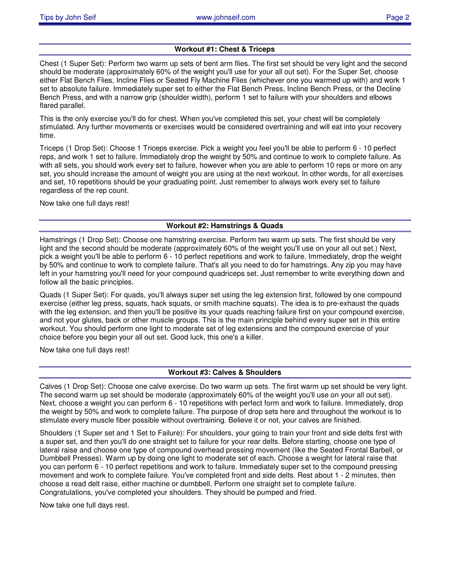## **Workout #1: Chest & Triceps**

Chest (1 Super Set): Perform two warm up sets of bent arm flies. The first set should be very light and the second should be moderate (approximately 60% of the weight you'll use for your all out set). For the Super Set, choose either Flat Bench Flies, Incline Flies or Seated Fly Machine Flies (whichever one you warmed up with) and work 1 set to absolute failure. Immediately super set to either the Flat Bench Press, Incline Bench Press, or the Decline Bench Press, and with a narrow grip (shoulder width), perform 1 set to failure with your shoulders and elbows flared parallel.

This is the only exercise you'll do for chest. When you've completed this set, your chest will be completely stimulated. Any further movements or exercises would be considered overtraining and will eat into your recovery time.

Triceps (1 Drop Set): Choose 1 Triceps exercise. Pick a weight you feel you'll be able to perform 6 - 10 perfect reps, and work 1 set to failure. Immediately drop the weight by 50% and continue to work to complete failure. As with all sets, you should work every set to failure, however when you are able to perform 10 reps or more on any set, you should increase the amount of weight you are using at the next workout. In other words, for all exercises and set, 10 repetitions should be your graduating point. Just remember to always work every set to failure regardless of the rep count.

Now take one full days rest!

## **Workout #2: Hamstrings & Quads**

Hamstrings (1 Drop Set): Choose one hamstring exercise. Perform two warm up sets. The first should be very light and the second should be moderate (approximately 60% of the weight you'll use on your all out set.) Next, pick a weight you'll be able to perform 6 - 10 perfect repetitions and work to failure. Immediately, drop the weight by 50% and continue to work to complete failure. That's all you need to do for hamstrings. Any zip you may have left in your hamstring you'll need for your compound quadriceps set. Just remember to write everything down and follow all the basic principles.

Quads (1 Super Set): For quads, you'll always super set using the leg extension first, followed by one compound exercise (either leg press, squats, hack squats, or smith machine squats). The idea is to pre-exhaust the quads with the leg extension, and then you'll be positive its your quads reaching failure first on your compound exercise, and not your glutes, back or other muscle groups. This is the main principle behind every super set in this entire workout. You should perform one light to moderate set of leg extensions and the compound exercise of your choice before you begin your all out set. Good luck, this one's a killer.

Now take one full days rest!

## **Workout #3: Calves & Shoulders**

Calves (1 Drop Set): Choose one calve exercise. Do two warm up sets. The first warm up set should be very light. The second warm up set should be moderate (approximately 60% of the weight you'll use on your all out set). Next, choose a weight you can perform 6 - 10 repetitions with perfect form and work to failure. Immediately, drop the weight by 50% and work to complete failure. The purpose of drop sets here and throughout the workout is to stimulate every muscle fiber possible without overtraining. Believe it or not, your calves are finished.

Shoulders (1 Super set and 1 Set to Failure): For shoulders, your going to train your front and side delts first with a super set, and then you'll do one straight set to failure for your rear delts. Before starting, choose one type of lateral raise and choose one type of compound overhead pressing movement (like the Seated Frontal Barbell, or Dumbbell Presses). Warm up by doing one light to moderate set of each. Choose a weight for lateral raise that you can perform 6 - 10 perfect repetitions and work to failure. Immediately super set to the compound pressing movement and work to complete failure. You've completed front and side delts. Rest about 1 - 2 minutes, then choose a read delt raise, either machine or dumbbell. Perform one straight set to complete failure. Congratulations, you've completed your shoulders. They should be pumped and fried.

Now take one full days rest.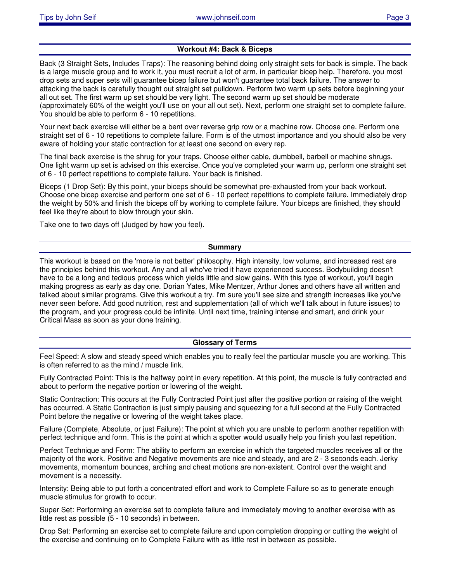#### **Workout #4: Back & Biceps**

Back (3 Straight Sets, Includes Traps): The reasoning behind doing only straight sets for back is simple. The back is a large muscle group and to work it, you must recruit a lot of arm, in particular bicep help. Therefore, you most drop sets and super sets will guarantee bicep failure but won't guarantee total back failure. The answer to attacking the back is carefully thought out straight set pulldown. Perform two warm up sets before beginning your all out set. The first warm up set should be very light. The second warm up set should be moderate (approximately 60% of the weight you'll use on your all out set). Next, perform one straight set to complete failure. You should be able to perform 6 - 10 repetitions.

Your next back exercise will either be a bent over reverse grip row or a machine row. Choose one. Perform one straight set of 6 - 10 repetitions to complete failure. Form is of the utmost importance and you should also be very aware of holding your static contraction for at least one second on every rep.

The final back exercise is the shrug for your traps. Choose either cable, dumbbell, barbell or machine shrugs. One light warm up set is advised on this exercise. Once you've completed your warm up, perform one straight set of 6 - 10 perfect repetitions to complete failure. Your back is finished.

Biceps (1 Drop Set): By this point, your biceps should be somewhat pre-exhausted from your back workout. Choose one bicep exercise and perform one set of 6 - 10 perfect repetitions to complete failure. Immediately drop the weight by 50% and finish the biceps off by working to complete failure. Your biceps are finished, they should feel like they're about to blow through your skin.

Take one to two days off (Judged by how you feel).

#### **Summary**

This workout is based on the 'more is not better' philosophy. High intensity, low volume, and increased rest are the principles behind this workout. Any and all who've tried it have experienced success. Bodybuilding doesn't have to be a long and tedious process which yields little and slow gains. With this type of workout, you'll begin making progress as early as day one. Dorian Yates, Mike Mentzer, Arthur Jones and others have all written and talked about similar programs. Give this workout a try. I'm sure you'll see size and strength increases like you've never seen before. Add good nutrition, rest and supplementation (all of which we'll talk about in future issues) to the program, and your progress could be infinite. Until next time, training intense and smart, and drink your Critical Mass as soon as your done training.

#### **Glossary of Terms**

Feel Speed: A slow and steady speed which enables you to really feel the particular muscle you are working. This is often referred to as the mind / muscle link.

Fully Contracted Point: This is the halfway point in every repetition. At this point, the muscle is fully contracted and about to perform the negative portion or lowering of the weight.

Static Contraction: This occurs at the Fully Contracted Point just after the positive portion or raising of the weight has occurred. A Static Contraction is just simply pausing and squeezing for a full second at the Fully Contracted Point before the negative or lowering of the weight takes place.

Failure (Complete, Absolute, or just Failure): The point at which you are unable to perform another repetition with perfect technique and form. This is the point at which a spotter would usually help you finish you last repetition.

Perfect Technique and Form: The ability to perform an exercise in which the targeted muscles receives all or the majority of the work. Positive and Negative movements are nice and steady, and are 2 - 3 seconds each. Jerky movements, momentum bounces, arching and cheat motions are non-existent. Control over the weight and movement is a necessity.

Intensity: Being able to put forth a concentrated effort and work to Complete Failure so as to generate enough muscle stimulus for growth to occur.

Super Set: Performing an exercise set to complete failure and immediately moving to another exercise with as little rest as possible (5 - 10 seconds) in between.

Drop Set: Performing an exercise set to complete failure and upon completion dropping or cutting the weight of the exercise and continuing on to Complete Failure with as little rest in between as possible.